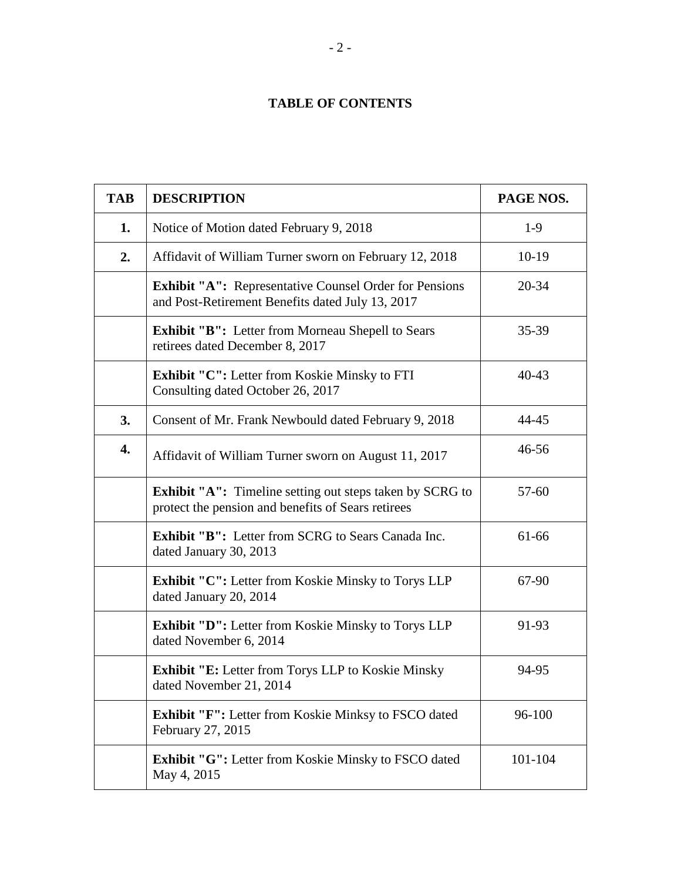## **TABLE OF CONTENTS**

| <b>TAB</b> | <b>DESCRIPTION</b>                                                                                                    | PAGE NOS. |
|------------|-----------------------------------------------------------------------------------------------------------------------|-----------|
| 1.         | Notice of Motion dated February 9, 2018                                                                               | $1-9$     |
| 2.         | Affidavit of William Turner sworn on February 12, 2018                                                                | $10-19$   |
|            | <b>Exhibit "A":</b> Representative Counsel Order for Pensions<br>and Post-Retirement Benefits dated July 13, 2017     | $20 - 34$ |
|            | <b>Exhibit "B":</b> Letter from Morneau Shepell to Sears<br>retirees dated December 8, 2017                           | $35 - 39$ |
|            | <b>Exhibit "C":</b> Letter from Koskie Minsky to FTI<br>Consulting dated October 26, 2017                             | $40 - 43$ |
| 3.         | Consent of Mr. Frank Newbould dated February 9, 2018                                                                  | 44-45     |
| 4.         | Affidavit of William Turner sworn on August 11, 2017                                                                  | $46 - 56$ |
|            | <b>Exhibit "A":</b> Timeline setting out steps taken by SCRG to<br>protect the pension and benefits of Sears retirees | $57 - 60$ |
|            | <b>Exhibit "B":</b> Letter from SCRG to Sears Canada Inc.<br>dated January 30, 2013                                   | 61-66     |
|            | <b>Exhibit "C":</b> Letter from Koskie Minsky to Torys LLP<br>dated January 20, 2014                                  | 67-90     |
|            | <b>Exhibit "D":</b> Letter from Koskie Minsky to Torys LLP<br>dated November 6, 2014                                  | 91-93     |
|            | <b>Exhibit "E:</b> Letter from Torys LLP to Koskie Minsky<br>dated November 21, 2014                                  | 94-95     |
|            | <b>Exhibit "F":</b> Letter from Koskie Minksy to FSCO dated<br>February 27, 2015                                      | 96-100    |
|            | <b>Exhibit "G":</b> Letter from Koskie Minsky to FSCO dated<br>May 4, 2015                                            | 101-104   |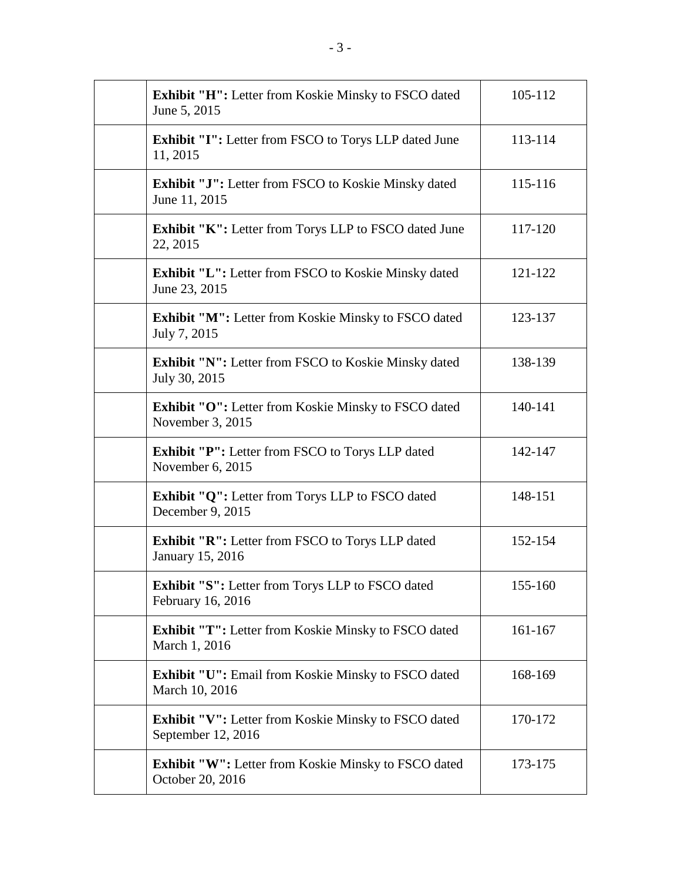| <b>Exhibit "H":</b> Letter from Koskie Minsky to FSCO dated<br>June 5, 2015       | 105-112 |
|-----------------------------------------------------------------------------------|---------|
| <b>Exhibit "I":</b> Letter from FSCO to Torys LLP dated June<br>11, 2015          | 113-114 |
| <b>Exhibit "J":</b> Letter from FSCO to Koskie Minsky dated<br>June 11, 2015      | 115-116 |
| <b>Exhibit "K":</b> Letter from Torys LLP to FSCO dated June<br>22, 2015          | 117-120 |
| <b>Exhibit "L":</b> Letter from FSCO to Koskie Minsky dated<br>June 23, 2015      | 121-122 |
| <b>Exhibit "M":</b> Letter from Koskie Minsky to FSCO dated<br>July 7, 2015       | 123-137 |
| <b>Exhibit "N":</b> Letter from FSCO to Koskie Minsky dated<br>July 30, 2015      | 138-139 |
| <b>Exhibit "O":</b> Letter from Koskie Minsky to FSCO dated<br>November 3, 2015   | 140-141 |
| <b>Exhibit "P":</b> Letter from FSCO to Torys LLP dated<br>November 6, 2015       | 142-147 |
| <b>Exhibit "Q":</b> Letter from Torys LLP to FSCO dated<br>December 9, 2015       | 148-151 |
| <b>Exhibit "R":</b> Letter from FSCO to Torys LLP dated<br>January 15, 2016       | 152-154 |
| Exhibit "S": Letter from Torys LLP to FSCO dated<br>February 16, 2016             | 155-160 |
| <b>Exhibit "T":</b> Letter from Koskie Minsky to FSCO dated<br>March 1, 2016      | 161-167 |
| <b>Exhibit "U":</b> Email from Koskie Minsky to FSCO dated<br>March 10, 2016      | 168-169 |
| <b>Exhibit "V":</b> Letter from Koskie Minsky to FSCO dated<br>September 12, 2016 | 170-172 |
| <b>Exhibit "W":</b> Letter from Koskie Minsky to FSCO dated<br>October 20, 2016   | 173-175 |